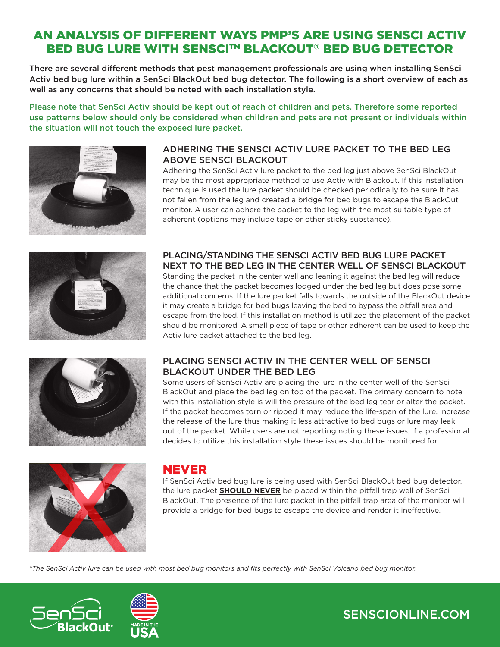## AN ANALYSIS OF DIFFERENT WAYS PMP'S ARE USING SENSCI ACTIV BED BUG LURE WITH SENSCI™ BLACKOUT® BED BUG DETECTOR

There are several different methods that pest management professionals are using when installing SenSci Activ bed bug lure within a SenSci BlackOut bed bug detector. The following is a short overview of each as well as any concerns that should be noted with each installation style.

Please note that SenSci Activ should be kept out of reach of children and pets. Therefore some reported use patterns below should only be considered when children and pets are not present or individuals within the situation will not touch the exposed lure packet.



### ADHERING THE SENSCI ACTIV LURE PACKET TO THE BED LEG ABOVE SENSCI BLACKOUT

Adhering the SenSci Activ lure packet to the bed leg just above SenSci BlackOut may be the most appropriate method to use Activ with Blackout. If this installation technique is used the lure packet should be checked periodically to be sure it has not fallen from the leg and created a bridge for bed bugs to escape the BlackOut monitor. A user can adhere the packet to the leg with the most suitable type of adherent (options may include tape or other sticky substance).



### PLACING/STANDING THE SENSCI ACTIV BED BUG LURE PACKET NEXT TO THE BED LEG IN THE CENTER WELL OF SENSCI BLACKOUT

Standing the packet in the center well and leaning it against the bed leg will reduce the chance that the packet becomes lodged under the bed leg but does pose some additional concerns. If the lure packet falls towards the outside of the BlackOut device it may create a bridge for bed bugs leaving the bed to bypass the pitfall area and escape from the bed. If this installation method is utilized the placement of the packet should be monitored. A small piece of tape or other adherent can be used to keep the Activ lure packet attached to the bed leg.



### PLACING SENSCI ACTIV IN THE CENTER WELL OF SENSCI BLACKOUT UNDER THE BED LEG

Some users of SenSci Activ are placing the lure in the center well of the SenSci BlackOut and place the bed leg on top of the packet. The primary concern to note with this installation style is will the pressure of the bed leg tear or alter the packet. If the packet becomes torn or ripped it may reduce the life-span of the lure, increase the release of the lure thus making it less attractive to bed bugs or lure may leak out of the packet. While users are not reporting noting these issues, if a professional decides to utilize this installation style these issues should be monitored for.



### NEVER

If SenSci Activ bed bug lure is being used with SenSci BlackOut bed bug detector, the lure packet **SHOULD NEVER** be placed within the pitfall trap well of SenSci BlackOut. The presence of the lure packet in the pitfall trap area of the monitor will provide a bridge for bed bugs to escape the device and render it ineffective.

*\*The SenSci Activ lure can be used with most bed bug monitors and fits perfectly with SenSci Volcano bed bug monitor.*



# SENSCIONLINE.COM